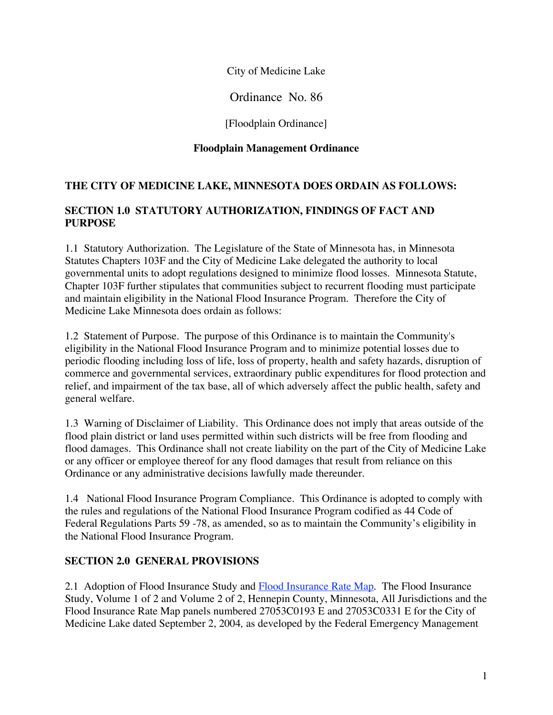City of Medicine Lake

Ordinance No. 86

[Floodplain Ordinance]

#### **Floodplain Management Ordinance**

#### **THE CITY OF MEDICINE LAKE, MINNESOTA DOES ORDAIN AS FOLLOWS:**

#### **SECTION 1.0 STATUTORY AUTHORIZATION, FINDINGS OF FACT AND PURPOSE**

1.1 Statutory Authorization. The Legislature of the State of Minnesota has, in Minnesota Statutes Chapters 103F and the City of Medicine Lake delegated the authority to local governmental units to adopt regulations designed to minimize flood losses. Minnesota Statute, Chapter 103F further stipulates that communities subject to recurrent flooding must participate and maintain eligibility in the National Flood Insurance Program. Therefore the City of Medicine Lake Minnesota does ordain as follows:

1.2 Statement of Purpose. The purpose of this Ordinance is to maintain the Community's eligibility in the National Flood Insurance Program and to minimize potential losses due to periodic flooding including loss of life, loss of property, health and safety hazards, disruption of commerce and governmental services, extraordinary public expenditures for flood protection and relief, and impairment of the tax base, all of which adversely affect the public health, safety and general welfare.

1.3 Warning of Disclaimer of Liability. This Ordinance does not imply that areas outside of the flood plain district or land uses permitted within such districts will be free from flooding and flood damages. This Ordinance shall not create liability on the part of the City of Medicine Lake or any officer or employee thereof for any flood damages that result from reliance on this Ordinance or any administrative decisions lawfully made thereunder.

1.4 National Flood Insurance Program Compliance. This Ordinance is adopted to comply with the rules and regulations of the National Flood Insurance Program codified as 44 Code of Federal Regulations Parts 59 -78, as amended, so as to maintain the Community's eligibility in the National Flood Insurance Program.

#### **SECTION 2.0 GENERAL PROVISIONS**

2.1 Adoption of Flood Insurance Study and Flood Insurance Rate Map. The Flood Insurance Study, Volume 1 of 2 and Volume 2 of 2, Hennepin County, Minnesota, All Jurisdictions and the Flood Insurance Rate Map panels numbered 27053C0193 E and 27053C0331 E for the City of Medicine Lake dated September 2, 2004*,* as developed by the Federal Emergency Management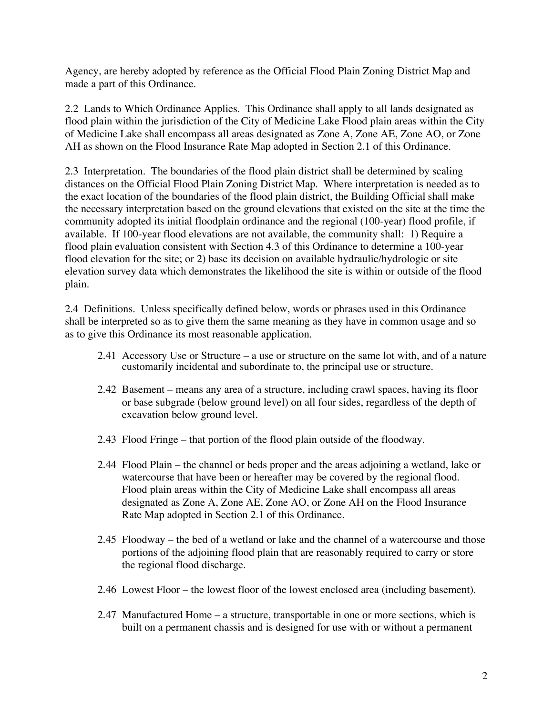Agency, are hereby adopted by reference as the Official Flood Plain Zoning District Map and made a part of this Ordinance.

2.2 Lands to Which Ordinance Applies. This Ordinance shall apply to all lands designated as flood plain within the jurisdiction of the City of Medicine Lake Flood plain areas within the City of Medicine Lake shall encompass all areas designated as Zone A, Zone AE, Zone AO, or Zone AH as shown on the Flood Insurance Rate Map adopted in Section 2.1 of this Ordinance.

2.3 Interpretation. The boundaries of the flood plain district shall be determined by scaling distances on the Official Flood Plain Zoning District Map. Where interpretation is needed as to the exact location of the boundaries of the flood plain district, the Building Official shall make the necessary interpretation based on the ground elevations that existed on the site at the time the community adopted its initial floodplain ordinance and the regional (100-year) flood profile, if available. If 100-year flood elevations are not available, the community shall: 1) Require a flood plain evaluation consistent with Section 4.3 of this Ordinance to determine a 100-year flood elevation for the site; or 2) base its decision on available hydraulic/hydrologic or site elevation survey data which demonstrates the likelihood the site is within or outside of the flood plain.

2.4 Definitions. Unless specifically defined below, words or phrases used in this Ordinance shall be interpreted so as to give them the same meaning as they have in common usage and so as to give this Ordinance its most reasonable application.

- 2.41 Accessory Use or Structure a use or structure on the same lot with, and of a nature customarily incidental and subordinate to, the principal use or structure.
- 2.42 Basement means any area of a structure, including crawl spaces, having its floor or base subgrade (below ground level) on all four sides, regardless of the depth of excavation below ground level.
- 2.43 Flood Fringe that portion of the flood plain outside of the floodway.
- 2.44 Flood Plain the channel or beds proper and the areas adjoining a wetland, lake or watercourse that have been or hereafter may be covered by the regional flood. Flood plain areas within the City of Medicine Lake shall encompass all areas designated as Zone A, Zone AE, Zone AO, or Zone AH on the Flood Insurance Rate Map adopted in Section 2.1 of this Ordinance.
- 2.45 Floodway the bed of a wetland or lake and the channel of a watercourse and those portions of the adjoining flood plain that are reasonably required to carry or store the regional flood discharge.
- 2.46 Lowest Floor the lowest floor of the lowest enclosed area (including basement).
- 2.47 Manufactured Home a structure, transportable in one or more sections, which is built on a permanent chassis and is designed for use with or without a permanent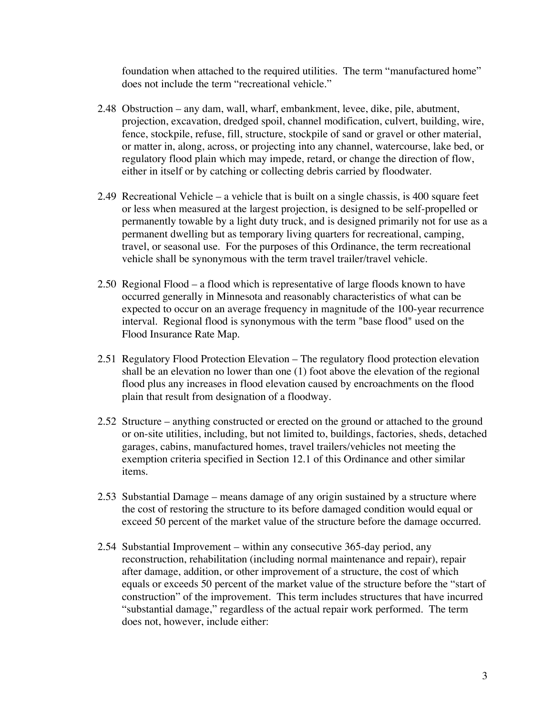foundation when attached to the required utilities. The term "manufactured home" does not include the term "recreational vehicle."

- 2.48 Obstruction any dam, wall, wharf, embankment, levee, dike, pile, abutment, projection, excavation, dredged spoil, channel modification, culvert, building, wire, fence, stockpile, refuse, fill, structure, stockpile of sand or gravel or other material, or matter in, along, across, or projecting into any channel, watercourse, lake bed, or regulatory flood plain which may impede, retard, or change the direction of flow, either in itself or by catching or collecting debris carried by floodwater.
- 2.49 Recreational Vehicle a vehicle that is built on a single chassis, is 400 square feet or less when measured at the largest projection, is designed to be self-propelled or permanently towable by a light duty truck, and is designed primarily not for use as a permanent dwelling but as temporary living quarters for recreational, camping, travel, or seasonal use. For the purposes of this Ordinance, the term recreational vehicle shall be synonymous with the term travel trailer/travel vehicle.
- 2.50 Regional Flood a flood which is representative of large floods known to have occurred generally in Minnesota and reasonably characteristics of what can be expected to occur on an average frequency in magnitude of the 100-year recurrence interval. Regional flood is synonymous with the term "base flood" used on the Flood Insurance Rate Map.
- 2.51 Regulatory Flood Protection Elevation The regulatory flood protection elevation shall be an elevation no lower than one (1) foot above the elevation of the regional flood plus any increases in flood elevation caused by encroachments on the flood plain that result from designation of a floodway.
- 2.52 Structure anything constructed or erected on the ground or attached to the ground or on-site utilities, including, but not limited to, buildings, factories, sheds, detached garages, cabins, manufactured homes, travel trailers/vehicles not meeting the exemption criteria specified in Section 12.1 of this Ordinance and other similar items.
- 2.53 Substantial Damage means damage of any origin sustained by a structure where the cost of restoring the structure to its before damaged condition would equal or exceed 50 percent of the market value of the structure before the damage occurred.
- 2.54 Substantial Improvement within any consecutive 365-day period, any reconstruction, rehabilitation (including normal maintenance and repair), repair after damage, addition, or other improvement of a structure, the cost of which equals or exceeds 50 percent of the market value of the structure before the "start of construction" of the improvement. This term includes structures that have incurred "substantial damage," regardless of the actual repair work performed. The term does not, however, include either: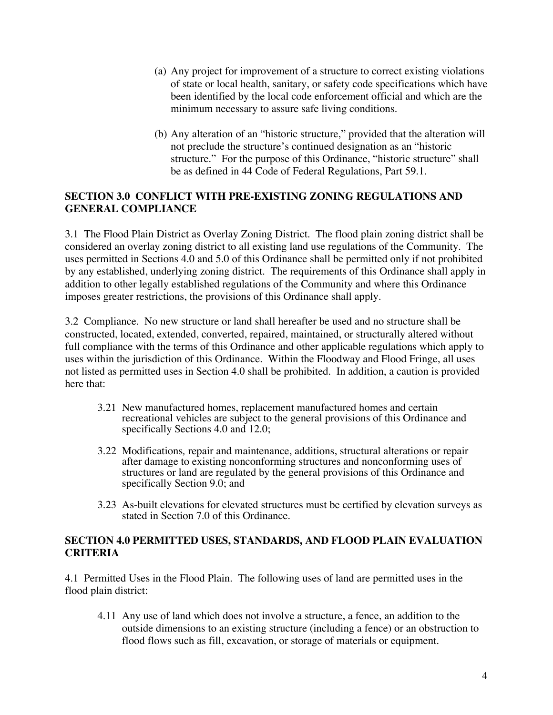- (a) Any project for improvement of a structure to correct existing violations of state or local health, sanitary, or safety code specifications which have been identified by the local code enforcement official and which are the minimum necessary to assure safe living conditions.
- (b) Any alteration of an "historic structure," provided that the alteration will not preclude the structure's continued designation as an "historic structure." For the purpose of this Ordinance, "historic structure" shall be as defined in 44 Code of Federal Regulations, Part 59.1.

#### **SECTION 3.0 CONFLICT WITH PRE-EXISTING ZONING REGULATIONS AND GENERAL COMPLIANCE**

3.1 The Flood Plain District as Overlay Zoning District. The flood plain zoning district shall be considered an overlay zoning district to all existing land use regulations of the Community. The uses permitted in Sections 4.0 and 5.0 of this Ordinance shall be permitted only if not prohibited by any established, underlying zoning district. The requirements of this Ordinance shall apply in addition to other legally established regulations of the Community and where this Ordinance imposes greater restrictions, the provisions of this Ordinance shall apply.

3.2 Compliance. No new structure or land shall hereafter be used and no structure shall be constructed, located, extended, converted, repaired, maintained, or structurally altered without full compliance with the terms of this Ordinance and other applicable regulations which apply to uses within the jurisdiction of this Ordinance. Within the Floodway and Flood Fringe, all uses not listed as permitted uses in Section 4.0 shall be prohibited. In addition, a caution is provided here that:

- 3.21 New manufactured homes, replacement manufactured homes and certain recreational vehicles are subject to the general provisions of this Ordinance and specifically Sections 4.0 and 12.0;
- 3.22 Modifications*,* repair and maintenance, additions, structural alterations or repair after damage to existing nonconforming structures and nonconforming uses of structures or land are regulated by the general provisions of this Ordinance and specifically Section 9.0; and
- 3.23 As-built elevations for elevated structures must be certified by elevation surveys as stated in Section 7.0 of this Ordinance.

#### **SECTION 4.0 PERMITTED USES, STANDARDS, AND FLOOD PLAIN EVALUATION CRITERIA**

4.1 Permitted Uses in the Flood Plain. The following uses of land are permitted uses in the flood plain district:

4.11 Any use of land which does not involve a structure, a fence, an addition to the outside dimensions to an existing structure (including a fence) or an obstruction to flood flows such as fill, excavation, or storage of materials or equipment.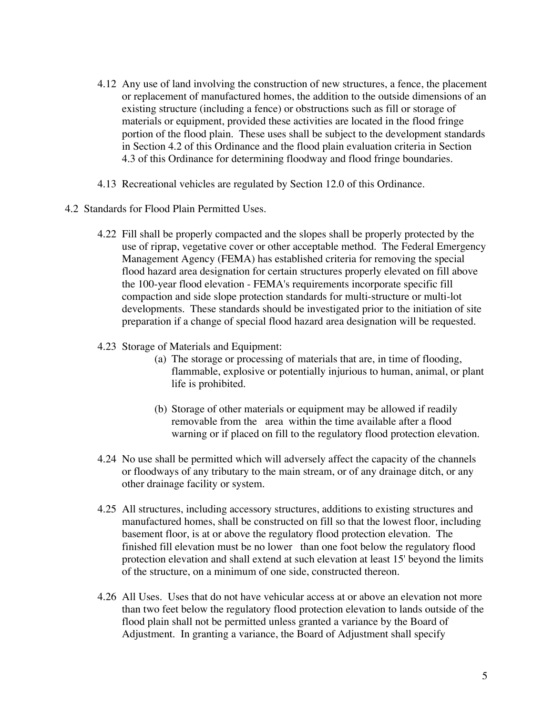- 4.12 Any use of land involving the construction of new structures, a fence, the placement or replacement of manufactured homes, the addition to the outside dimensions of an existing structure (including a fence) or obstructions such as fill or storage of materials or equipment, provided these activities are located in the flood fringe portion of the flood plain. These uses shall be subject to the development standards in Section 4.2 of this Ordinance and the flood plain evaluation criteria in Section 4.3 of this Ordinance for determining floodway and flood fringe boundaries.
- 4.13 Recreational vehicles are regulated by Section 12.0 of this Ordinance.
- 4.2 Standards for Flood Plain Permitted Uses.
	- 4.22 Fill shall be properly compacted and the slopes shall be properly protected by the use of riprap, vegetative cover or other acceptable method. The Federal Emergency Management Agency (FEMA) has established criteria for removing the special flood hazard area designation for certain structures properly elevated on fill above the 100-year flood elevation - FEMA's requirements incorporate specific fill compaction and side slope protection standards for multi-structure or multi-lot developments. These standards should be investigated prior to the initiation of site preparation if a change of special flood hazard area designation will be requested.
	- 4.23 Storage of Materials and Equipment:
		- (a) The storage or processing of materials that are, in time of flooding, flammable, explosive or potentially injurious to human, animal, or plant life is prohibited.
		- (b) Storage of other materials or equipment may be allowed if readily removable from the area within the time available after a flood warning or if placed on fill to the regulatory flood protection elevation.
	- 4.24 No use shall be permitted which will adversely affect the capacity of the channels or floodways of any tributary to the main stream, or of any drainage ditch, or any other drainage facility or system.
	- 4.25 All structures, including accessory structures, additions to existing structures and manufactured homes, shall be constructed on fill so that the lowest floor, including basement floor, is at or above the regulatory flood protection elevation. The finished fill elevation must be no lower than one foot below the regulatory flood protection elevation and shall extend at such elevation at least 15' beyond the limits of the structure, on a minimum of one side, constructed thereon.
	- 4.26 All Uses. Uses that do not have vehicular access at or above an elevation not more than two feet below the regulatory flood protection elevation to lands outside of the flood plain shall not be permitted unless granted a variance by the Board of Adjustment. In granting a variance, the Board of Adjustment shall specify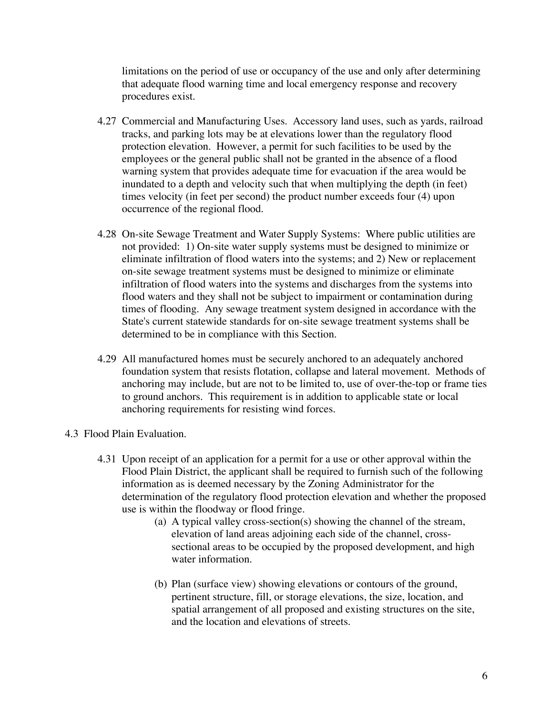limitations on the period of use or occupancy of the use and only after determining that adequate flood warning time and local emergency response and recovery procedures exist.

- 4.27 Commercial and Manufacturing Uses. Accessory land uses, such as yards, railroad tracks, and parking lots may be at elevations lower than the regulatory flood protection elevation. However, a permit for such facilities to be used by the employees or the general public shall not be granted in the absence of a flood warning system that provides adequate time for evacuation if the area would be inundated to a depth and velocity such that when multiplying the depth (in feet) times velocity (in feet per second) the product number exceeds four (4) upon occurrence of the regional flood.
- 4.28 On-site Sewage Treatment and Water Supply Systems: Where public utilities are not provided: 1) On-site water supply systems must be designed to minimize or eliminate infiltration of flood waters into the systems; and 2) New or replacement on-site sewage treatment systems must be designed to minimize or eliminate infiltration of flood waters into the systems and discharges from the systems into flood waters and they shall not be subject to impairment or contamination during times of flooding. Any sewage treatment system designed in accordance with the State's current statewide standards for on-site sewage treatment systems shall be determined to be in compliance with this Section.
- 4.29 All manufactured homes must be securely anchored to an adequately anchored foundation system that resists flotation, collapse and lateral movement. Methods of anchoring may include, but are not to be limited to, use of over-the-top or frame ties to ground anchors. This requirement is in addition to applicable state or local anchoring requirements for resisting wind forces.
- 4.3 Flood Plain Evaluation.
	- 4.31 Upon receipt of an application for a permit for a use or other approval within the Flood Plain District, the applicant shall be required to furnish such of the following information as is deemed necessary by the Zoning Administrator for the determination of the regulatory flood protection elevation and whether the proposed use is within the floodway or flood fringe.
		- (a) A typical valley cross-section(s) showing the channel of the stream, elevation of land areas adjoining each side of the channel, crosssectional areas to be occupied by the proposed development, and high water information.
		- (b) Plan (surface view) showing elevations or contours of the ground, pertinent structure, fill, or storage elevations, the size, location, and spatial arrangement of all proposed and existing structures on the site, and the location and elevations of streets.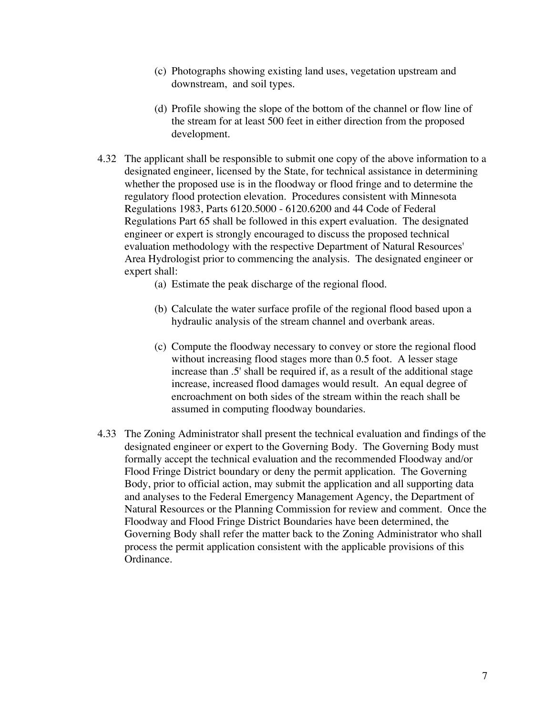- (c) Photographs showing existing land uses, vegetation upstream and downstream, and soil types.
- (d) Profile showing the slope of the bottom of the channel or flow line of the stream for at least 500 feet in either direction from the proposed development.
- 4.32 The applicant shall be responsible to submit one copy of the above information to a designated engineer, licensed by the State, for technical assistance in determining whether the proposed use is in the floodway or flood fringe and to determine the regulatory flood protection elevation. Procedures consistent with Minnesota Regulations 1983, Parts 6120.5000 - 6120.6200 and 44 Code of Federal Regulations Part 65 shall be followed in this expert evaluation. The designated engineer or expert is strongly encouraged to discuss the proposed technical evaluation methodology with the respective Department of Natural Resources' Area Hydrologist prior to commencing the analysis. The designated engineer or expert shall:
	- (a) Estimate the peak discharge of the regional flood.
	- (b) Calculate the water surface profile of the regional flood based upon a hydraulic analysis of the stream channel and overbank areas.
	- (c) Compute the floodway necessary to convey or store the regional flood without increasing flood stages more than 0.5 foot. A lesser stage increase than .5' shall be required if, as a result of the additional stage increase, increased flood damages would result. An equal degree of encroachment on both sides of the stream within the reach shall be assumed in computing floodway boundaries.
- 4.33 The Zoning Administrator shall present the technical evaluation and findings of the designated engineer or expert to the Governing Body. The Governing Body must formally accept the technical evaluation and the recommended Floodway and/or Flood Fringe District boundary or deny the permit application. The Governing Body, prior to official action, may submit the application and all supporting data and analyses to the Federal Emergency Management Agency, the Department of Natural Resources or the Planning Commission for review and comment. Once the Floodway and Flood Fringe District Boundaries have been determined, the Governing Body shall refer the matter back to the Zoning Administrator who shall process the permit application consistent with the applicable provisions of this Ordinance.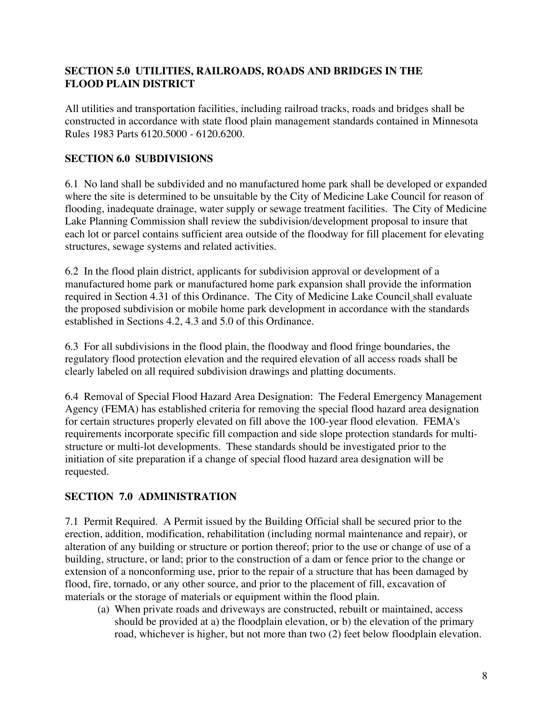#### **SECTION 5.0 UTILITIES, RAILROADS, ROADS AND BRIDGES IN THE FLOOD PLAIN DISTRICT**

All utilities and transportation facilities, including railroad tracks, roads and bridges shall be constructed in accordance with state flood plain management standards contained in Minnesota Rules 1983 Parts 6120.5000 - 6120.6200.

## **SECTION 6.0 SUBDIVISIONS**

6.1 No land shall be subdivided and no manufactured home park shall be developed or expanded where the site is determined to be unsuitable by the City of Medicine Lake Council for reason of flooding, inadequate drainage, water supply or sewage treatment facilities. The City of Medicine Lake Planning Commission shall review the subdivision/development proposal to insure that each lot or parcel contains sufficient area outside of the floodway for fill placement for elevating structures, sewage systems and related activities.

6.2 In the flood plain district, applicants for subdivision approval or development of a manufactured home park or manufactured home park expansion shall provide the information required in Section 4.31 of this Ordinance. The City of Medicine Lake Council shall evaluate the proposed subdivision or mobile home park development in accordance with the standards established in Sections 4.2, 4.3 and 5.0 of this Ordinance.

6.3 For all subdivisions in the flood plain, the floodway and flood fringe boundaries, the regulatory flood protection elevation and the required elevation of all access roads shall be clearly labeled on all required subdivision drawings and platting documents.

6.4 Removal of Special Flood Hazard Area Designation: The Federal Emergency Management Agency (FEMA) has established criteria for removing the special flood hazard area designation for certain structures properly elevated on fill above the 100-year flood elevation. FEMA's requirements incorporate specific fill compaction and side slope protection standards for multistructure or multi-lot developments. These standards should be investigated prior to the initiation of site preparation if a change of special flood hazard area designation will be requested.

## **SECTION 7.0 ADMINISTRATION**

7.1 Permit Required. A Permit issued by the Building Official shall be secured prior to the erection, addition, modification, rehabilitation (including normal maintenance and repair), or alteration of any building or structure or portion thereof; prior to the use or change of use of a building, structure, or land; prior to the construction of a dam or fence prior to the change or extension of a nonconforming use, prior to the repair of a structure that has been damaged by flood, fire, tornado, or any other source, and prior to the placement of fill, excavation of materials or the storage of materials or equipment within the flood plain.

(a) When private roads and driveways are constructed, rebuilt or maintained, access should be provided at a) the floodplain elevation, or b) the elevation of the primary road, whichever is higher, but not more than two (2) feet below floodplain elevation.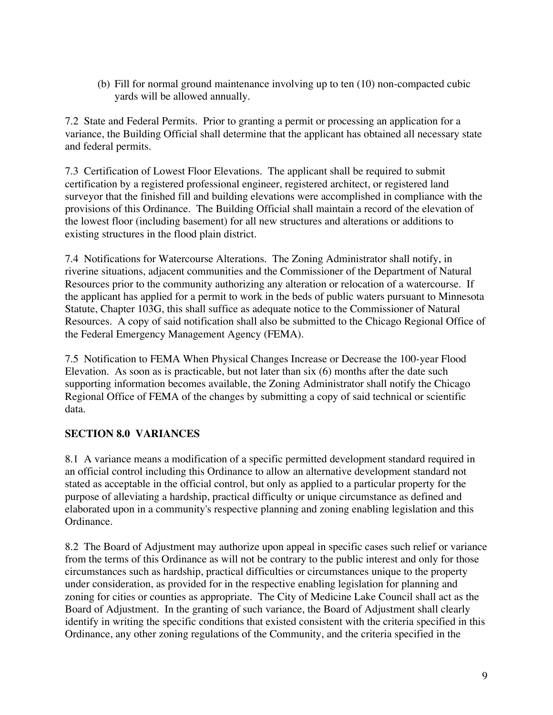(b) Fill for normal ground maintenance involving up to ten (10) non-compacted cubic yards will be allowed annually.

7.2 State and Federal Permits. Prior to granting a permit or processing an application for a variance, the Building Official shall determine that the applicant has obtained all necessary state and federal permits.

7.3 Certification of Lowest Floor Elevations. The applicant shall be required to submit certification by a registered professional engineer, registered architect, or registered land surveyor that the finished fill and building elevations were accomplished in compliance with the provisions of this Ordinance. The Building Official shall maintain a record of the elevation of the lowest floor (including basement) for all new structures and alterations or additions to existing structures in the flood plain district.

7.4 Notifications for Watercourse Alterations. The Zoning Administrator shall notify, in riverine situations, adjacent communities and the Commissioner of the Department of Natural Resources prior to the community authorizing any alteration or relocation of a watercourse. If the applicant has applied for a permit to work in the beds of public waters pursuant to Minnesota Statute, Chapter 103G, this shall suffice as adequate notice to the Commissioner of Natural Resources. A copy of said notification shall also be submitted to the Chicago Regional Office of the Federal Emergency Management Agency (FEMA).

7.5 Notification to FEMA When Physical Changes Increase or Decrease the 100-year Flood Elevation. As soon as is practicable, but not later than six (6) months after the date such supporting information becomes available, the Zoning Administrator shall notify the Chicago Regional Office of FEMA of the changes by submitting a copy of said technical or scientific data.

## **SECTION 8.0 VARIANCES**

8.1 A variance means a modification of a specific permitted development standard required in an official control including this Ordinance to allow an alternative development standard not stated as acceptable in the official control, but only as applied to a particular property for the purpose of alleviating a hardship, practical difficulty or unique circumstance as defined and elaborated upon in a community's respective planning and zoning enabling legislation and this Ordinance.

8.2 The Board of Adjustment may authorize upon appeal in specific cases such relief or variance from the terms of this Ordinance as will not be contrary to the public interest and only for those circumstances such as hardship, practical difficulties or circumstances unique to the property under consideration, as provided for in the respective enabling legislation for planning and zoning for cities or counties as appropriate. The City of Medicine Lake Council shall act as the Board of Adjustment. In the granting of such variance, the Board of Adjustment shall clearly identify in writing the specific conditions that existed consistent with the criteria specified in this Ordinance, any other zoning regulations of the Community, and the criteria specified in the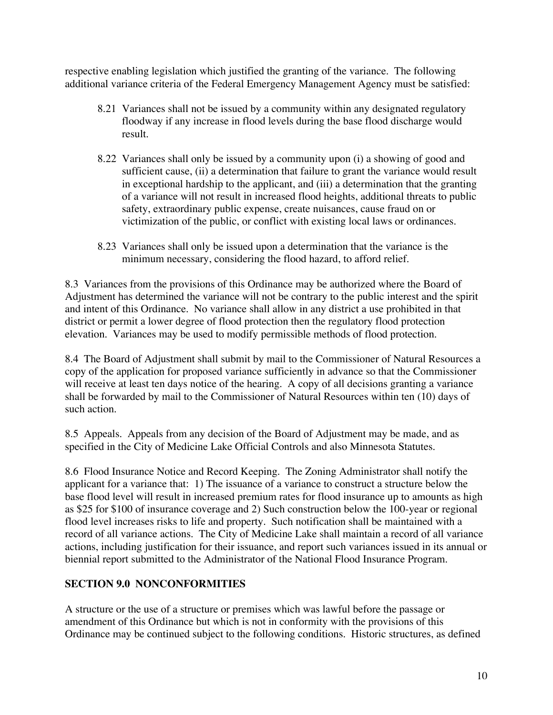respective enabling legislation which justified the granting of the variance. The following additional variance criteria of the Federal Emergency Management Agency must be satisfied:

- 8.21 Variances shall not be issued by a community within any designated regulatory floodway if any increase in flood levels during the base flood discharge would result.
- 8.22 Variances shall only be issued by a community upon (i) a showing of good and sufficient cause, (ii) a determination that failure to grant the variance would result in exceptional hardship to the applicant, and (iii) a determination that the granting of a variance will not result in increased flood heights, additional threats to public safety, extraordinary public expense, create nuisances, cause fraud on or victimization of the public, or conflict with existing local laws or ordinances.
- 8.23 Variances shall only be issued upon a determination that the variance is the minimum necessary, considering the flood hazard, to afford relief.

8.3 Variances from the provisions of this Ordinance may be authorized where the Board of Adjustment has determined the variance will not be contrary to the public interest and the spirit and intent of this Ordinance. No variance shall allow in any district a use prohibited in that district or permit a lower degree of flood protection then the regulatory flood protection elevation. Variances may be used to modify permissible methods of flood protection.

8.4 The Board of Adjustment shall submit by mail to the Commissioner of Natural Resources a copy of the application for proposed variance sufficiently in advance so that the Commissioner will receive at least ten days notice of the hearing. A copy of all decisions granting a variance shall be forwarded by mail to the Commissioner of Natural Resources within ten (10) days of such action.

8.5 Appeals. Appeals from any decision of the Board of Adjustment may be made, and as specified in the City of Medicine Lake Official Controls and also Minnesota Statutes.

8.6 Flood Insurance Notice and Record Keeping. The Zoning Administrator shall notify the applicant for a variance that: 1) The issuance of a variance to construct a structure below the base flood level will result in increased premium rates for flood insurance up to amounts as high as \$25 for \$100 of insurance coverage and 2) Such construction below the 100-year or regional flood level increases risks to life and property. Such notification shall be maintained with a record of all variance actions. The City of Medicine Lake shall maintain a record of all variance actions, including justification for their issuance, and report such variances issued in its annual or biennial report submitted to the Administrator of the National Flood Insurance Program.

## **SECTION 9.0 NONCONFORMITIES**

A structure or the use of a structure or premises which was lawful before the passage or amendment of this Ordinance but which is not in conformity with the provisions of this Ordinance may be continued subject to the following conditions. Historic structures, as defined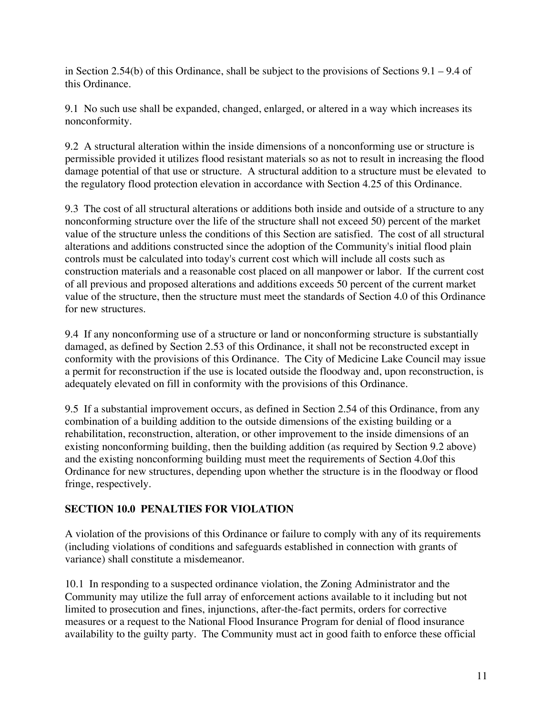in Section 2.54(b) of this Ordinance, shall be subject to the provisions of Sections  $9.1 - 9.4$  of this Ordinance.

9.1 No such use shall be expanded, changed, enlarged, or altered in a way which increases its nonconformity.

9.2 A structural alteration within the inside dimensions of a nonconforming use or structure is permissible provided it utilizes flood resistant materials so as not to result in increasing the flood damage potential of that use or structure. A structural addition to a structure must be elevated to the regulatory flood protection elevation in accordance with Section 4.25 of this Ordinance.

9.3 The cost of all structural alterations or additions both inside and outside of a structure to any nonconforming structure over the life of the structure shall not exceed 50) percent of the market value of the structure unless the conditions of this Section are satisfied. The cost of all structural alterations and additions constructed since the adoption of the Community's initial flood plain controls must be calculated into today's current cost which will include all costs such as construction materials and a reasonable cost placed on all manpower or labor. If the current cost of all previous and proposed alterations and additions exceeds 50 percent of the current market value of the structure, then the structure must meet the standards of Section 4.0 of this Ordinance for new structures.

9.4 If any nonconforming use of a structure or land or nonconforming structure is substantially damaged, as defined by Section 2.53 of this Ordinance, it shall not be reconstructed except in conformity with the provisions of this Ordinance. The City of Medicine Lake Council may issue a permit for reconstruction if the use is located outside the floodway and, upon reconstruction, is adequately elevated on fill in conformity with the provisions of this Ordinance.

9.5 If a substantial improvement occurs, as defined in Section 2.54 of this Ordinance, from any combination of a building addition to the outside dimensions of the existing building or a rehabilitation, reconstruction, alteration, or other improvement to the inside dimensions of an existing nonconforming building, then the building addition (as required by Section 9.2 above) and the existing nonconforming building must meet the requirements of Section 4.0of this Ordinance for new structures, depending upon whether the structure is in the floodway or flood fringe, respectively.

## **SECTION 10.0 PENALTIES FOR VIOLATION**

A violation of the provisions of this Ordinance or failure to comply with any of its requirements (including violations of conditions and safeguards established in connection with grants of variance) shall constitute a misdemeanor.

10.1 In responding to a suspected ordinance violation, the Zoning Administrator and the Community may utilize the full array of enforcement actions available to it including but not limited to prosecution and fines, injunctions, after-the-fact permits, orders for corrective measures or a request to the National Flood Insurance Program for denial of flood insurance availability to the guilty party. The Community must act in good faith to enforce these official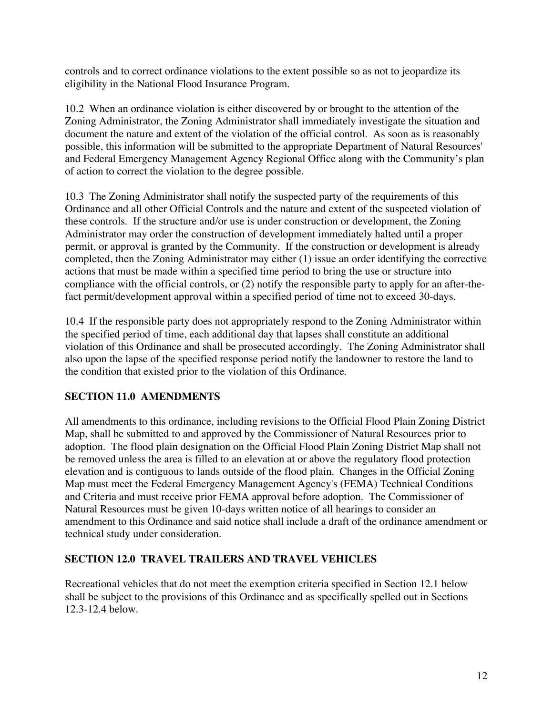controls and to correct ordinance violations to the extent possible so as not to jeopardize its eligibility in the National Flood Insurance Program.

10.2 When an ordinance violation is either discovered by or brought to the attention of the Zoning Administrator, the Zoning Administrator shall immediately investigate the situation and document the nature and extent of the violation of the official control. As soon as is reasonably possible, this information will be submitted to the appropriate Department of Natural Resources' and Federal Emergency Management Agency Regional Office along with the Community's plan of action to correct the violation to the degree possible.

10.3 The Zoning Administrator shall notify the suspected party of the requirements of this Ordinance and all other Official Controls and the nature and extent of the suspected violation of these controls. If the structure and/or use is under construction or development, the Zoning Administrator may order the construction of development immediately halted until a proper permit, or approval is granted by the Community. If the construction or development is already completed, then the Zoning Administrator may either (1) issue an order identifying the corrective actions that must be made within a specified time period to bring the use or structure into compliance with the official controls, or (2) notify the responsible party to apply for an after-thefact permit/development approval within a specified period of time not to exceed 30-days.

10.4 If the responsible party does not appropriately respond to the Zoning Administrator within the specified period of time, each additional day that lapses shall constitute an additional violation of this Ordinance and shall be prosecuted accordingly. The Zoning Administrator shall also upon the lapse of the specified response period notify the landowner to restore the land to the condition that existed prior to the violation of this Ordinance.

## **SECTION 11.0 AMENDMENTS**

All amendments to this ordinance, including revisions to the Official Flood Plain Zoning District Map, shall be submitted to and approved by the Commissioner of Natural Resources prior to adoption. The flood plain designation on the Official Flood Plain Zoning District Map shall not be removed unless the area is filled to an elevation at or above the regulatory flood protection elevation and is contiguous to lands outside of the flood plain. Changes in the Official Zoning Map must meet the Federal Emergency Management Agency's (FEMA) Technical Conditions and Criteria and must receive prior FEMA approval before adoption. The Commissioner of Natural Resources must be given 10-days written notice of all hearings to consider an amendment to this Ordinance and said notice shall include a draft of the ordinance amendment or technical study under consideration.

## **SECTION 12.0 TRAVEL TRAILERS AND TRAVEL VEHICLES**

Recreational vehicles that do not meet the exemption criteria specified in Section 12.1 below shall be subject to the provisions of this Ordinance and as specifically spelled out in Sections 12.3-12.4 below.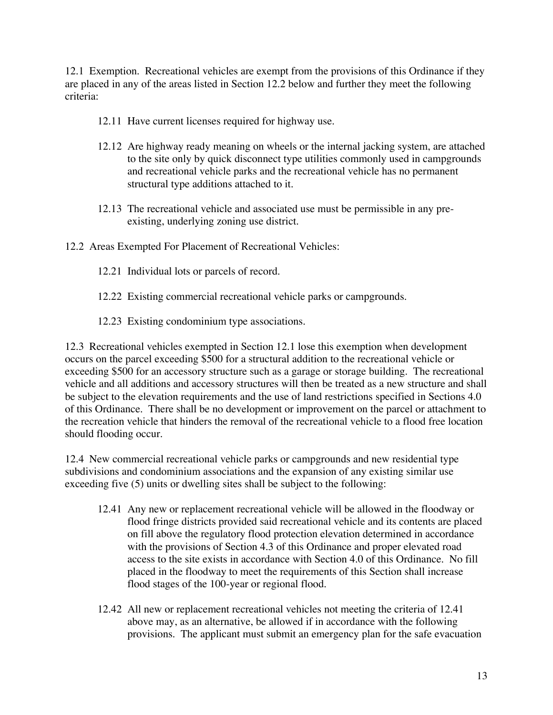12.1 Exemption. Recreational vehicles are exempt from the provisions of this Ordinance if they are placed in any of the areas listed in Section 12.2 below and further they meet the following criteria:

- 12.11 Have current licenses required for highway use.
- 12.12 Are highway ready meaning on wheels or the internal jacking system, are attached to the site only by quick disconnect type utilities commonly used in campgrounds and recreational vehicle parks and the recreational vehicle has no permanent structural type additions attached to it.
- 12.13 The recreational vehicle and associated use must be permissible in any preexisting, underlying zoning use district.
- 12.2 Areas Exempted For Placement of Recreational Vehicles:
	- 12.21 Individual lots or parcels of record.
	- 12.22 Existing commercial recreational vehicle parks or campgrounds.
	- 12.23 Existing condominium type associations.

12.3 Recreational vehicles exempted in Section 12.1 lose this exemption when development occurs on the parcel exceeding \$500 for a structural addition to the recreational vehicle or exceeding \$500 for an accessory structure such as a garage or storage building. The recreational vehicle and all additions and accessory structures will then be treated as a new structure and shall be subject to the elevation requirements and the use of land restrictions specified in Sections 4.0 of this Ordinance. There shall be no development or improvement on the parcel or attachment to the recreation vehicle that hinders the removal of the recreational vehicle to a flood free location should flooding occur.

12.4 New commercial recreational vehicle parks or campgrounds and new residential type subdivisions and condominium associations and the expansion of any existing similar use exceeding five (5) units or dwelling sites shall be subject to the following:

- 12.41 Any new or replacement recreational vehicle will be allowed in the floodway or flood fringe districts provided said recreational vehicle and its contents are placed on fill above the regulatory flood protection elevation determined in accordance with the provisions of Section 4.3 of this Ordinance and proper elevated road access to the site exists in accordance with Section 4.0 of this Ordinance. No fill placed in the floodway to meet the requirements of this Section shall increase flood stages of the 100-year or regional flood.
- 12.42 All new or replacement recreational vehicles not meeting the criteria of 12.41 above may, as an alternative, be allowed if in accordance with the following provisions. The applicant must submit an emergency plan for the safe evacuation